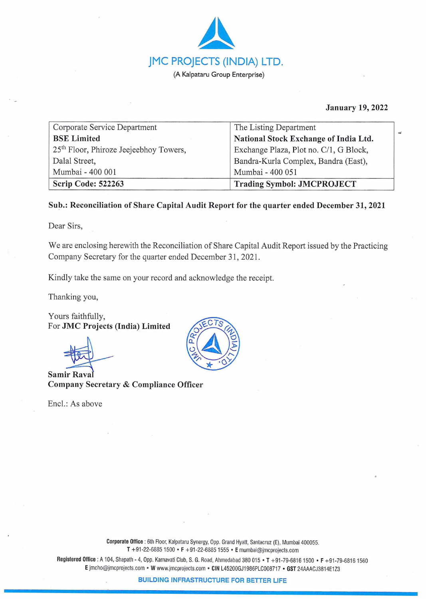

**January 19, 2022** 

**,4** 

| Corporate Service Department                       | The Listing Department                 |
|----------------------------------------------------|----------------------------------------|
| <b>BSE</b> Limited                                 | National Stock Exchange of India Ltd.  |
| 25 <sup>th</sup> Floor, Phiroze Jeejeebhoy Towers, | Exchange Plaza, Plot no. C/1, G Block, |
| Dalal Street,                                      | Bandra-Kurla Complex, Bandra (East),   |
| Mumbai - 400 001                                   | Mumbai - 400 051                       |
| Scrip Code: 522263                                 | <b>Trading Symbol: JMCPROJECT</b>      |

## **Sub.: Reconciliation of Share Capital Audit Report for the quarter ended December 31, 2021**

Dear Sirs,

We are enclosing herewith the Reconciliation of Share Capital Audit Report issued by the Practicing Company Secretary for the quarter ended December 31, 2021.

Kindly take the same on your record and acknowledge the receipt.

Thanking you,

Yours faithfully, For **JMC Projects (India) Limited** 

**Samir Rava Company Secretary** & **Compliance Officer** 

Encl.: As above



**Registered Office :** A 104, Shapath - 4, Opp. Karnavati Club, S. G. Road, Ahmedabad 380 015 • **T** +91-79-68161500 • **F** +91 -79-68161 560 **E** jmcho@jmcprojects.com • **W** www.jmcprojects.com • **CIN** L45200GJ1 986PLC008717 • **GST** 24AAACJ3814E123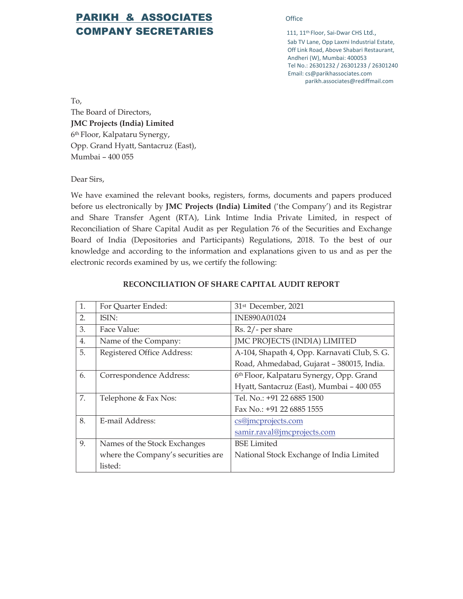## **PARIKH & ASSOCIATES** Office COMPANY SECRETARIES 111, 11<sup>th Floor, Sai-Dwar CHS Ltd.,</sup>

Sab TV Lane, Opp Laxmi Industrial Estate, Off Link Road, Above Shabari Restaurant, Andheri (W), Mumbai: 400053 Tel No.: 26301232 / 26301233 / 26301240 Email: cs@parikhassociates.com parikh.associates@rediffmail.com

To,

The Board of Directors, **JMC Projects (India) Limited** 6th Floor, Kalpataru Synergy, Opp. Grand Hyatt, Santacruz (East), Mumbai – 400 055

Dear Sirs,

We have examined the relevant books, registers, forms, documents and papers produced before us electronically by **JMC Projects (India) Limited** ('the Company') and its Registrar and Share Transfer Agent (RTA), Link Intime India Private Limited, in respect of Reconciliation of Share Capital Audit as per Regulation 76 of the Securities and Exchange Board of India (Depositories and Participants) Regulations, 2018. To the best of our knowledge and according to the information and explanations given to us and as per the electronic records examined by us, we certify the following:

| 1. | For Quarter Ended:                 | 31 <sup>st</sup> December, 2021              |
|----|------------------------------------|----------------------------------------------|
| 2. | ISIN:                              | INE890A01024                                 |
| 3. | Face Value:                        | Rs. 2/- per share                            |
| 4. | Name of the Company:               | JMC PROJECTS (INDIA) LIMITED                 |
| 5. | Registered Office Address:         | A-104, Shapath 4, Opp. Karnavati Club, S. G. |
|    |                                    | Road, Ahmedabad, Gujarat - 380015, India.    |
| 6. | Correspondence Address:            | 6th Floor, Kalpataru Synergy, Opp. Grand     |
|    |                                    | Hyatt, Santacruz (East), Mumbai - 400 055    |
| 7. | Telephone & Fax Nos:               | Tel. No.: +91 22 6885 1500                   |
|    |                                    | Fax No.: +91 22 6885 1555                    |
| 8. | E-mail Address:                    | cs@jmcprojects.com                           |
|    |                                    | samir.raval@jmcprojects.com                  |
| 9. | Names of the Stock Exchanges       | <b>BSE</b> Limited                           |
|    | where the Company's securities are | National Stock Exchange of India Limited     |
|    | listed:                            |                                              |

## **RECONCILIATION OF SHARE CAPITAL AUDIT REPORT**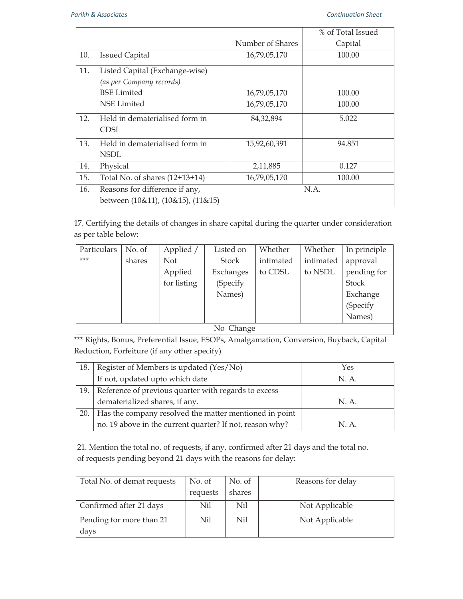|     |                                   |                  | % of Total Issued |
|-----|-----------------------------------|------------------|-------------------|
|     |                                   | Number of Shares | Capital           |
| 10. | <b>Issued Capital</b>             | 16,79,05,170     | 100.00            |
| 11. | Listed Capital (Exchange-wise)    |                  |                   |
|     | (as per Company records)          |                  |                   |
|     | <b>BSE</b> Limited                | 16,79,05,170     | 100.00            |
|     | NSE Limited                       | 16,79,05,170     | 100.00            |
| 12. | Held in dematerialised form in    | 84,32,894        | 5.022             |
|     | CDSL                              |                  |                   |
| 13. | Held in dematerialised form in    | 15,92,60,391     | 94.851            |
|     | <b>NSDL</b>                       |                  |                   |
| 14. | Physical                          | 2,11,885         | 0.127             |
| 15. | Total No. of shares (12+13+14)    | 16,79,05,170     | 100.00            |
| 16. | Reasons for difference if any,    |                  | N.A.              |
|     | between (10&11), (10&15), (11&15) |                  |                   |

17. Certifying the details of changes in share capital during the quarter under consideration as per table below:

| Particulars | No. of    | Applied /   | Listed on    | Whether   | Whether   | In principle |
|-------------|-----------|-------------|--------------|-----------|-----------|--------------|
| ***         | shares    | <b>Not</b>  | <b>Stock</b> | intimated | intimated | approval     |
|             |           | Applied     | Exchanges    | to CDSL   | to NSDL   | pending for  |
|             |           | for listing | (Specify     |           |           | <b>Stock</b> |
|             |           |             | Names)       |           |           | Exchange     |
|             |           |             |              |           |           | (Specify     |
|             |           |             |              |           |           | Names)       |
|             | No Change |             |              |           |           |              |

\*\*\* Rights, Bonus, Preferential Issue, ESOPs, Amalgamation, Conversion, Buyback, Capital Reduction, Forfeiture (if any other specify)

| 18. | Register of Members is updated (Yes/No)                      | Yes   |
|-----|--------------------------------------------------------------|-------|
|     | If not, updated upto which date                              | N. A. |
|     | 19. Reference of previous quarter with regards to excess     |       |
|     | dematerialized shares, if any.                               | N. A. |
|     | 20.   Has the company resolved the matter mentioned in point |       |
|     | no. 19 above in the current quarter? If not, reason why?     | N A   |

21. Mention the total no. of requests, if any, confirmed after 21 days and the total no. of requests pending beyond 21 days with the reasons for delay:

| Total No. of demat requests | No. of   | No. of | Reasons for delay |
|-----------------------------|----------|--------|-------------------|
|                             | requests | shares |                   |
| Confirmed after 21 days     | Nil      | Nil    | Not Applicable    |
| Pending for more than 21    | Nil      | Nil    | Not Applicable    |
| days                        |          |        |                   |